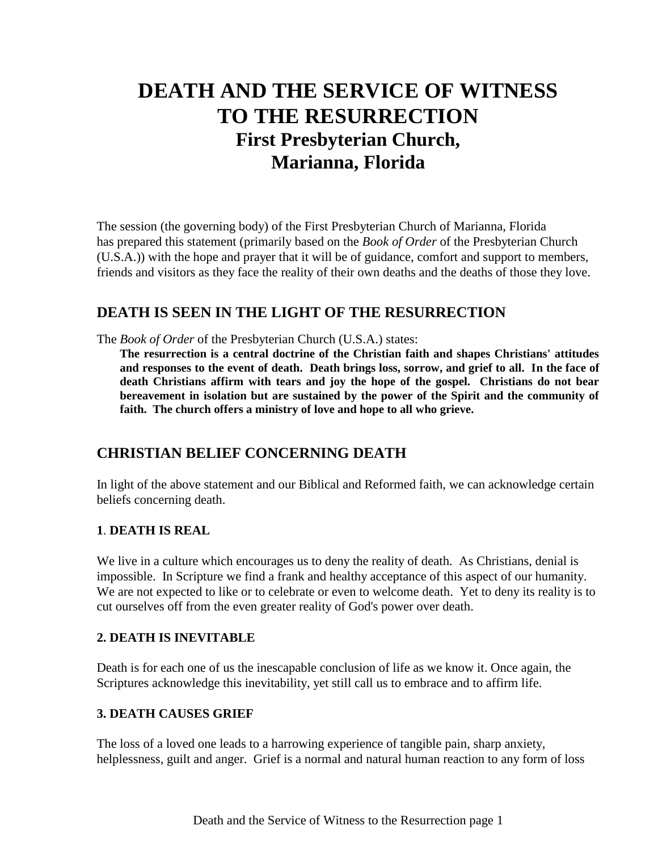# **DEATH AND THE SERVICE OF WITNESS TO THE RESURRECTION First Presbyterian Church, Marianna, Florida**

The session (the governing body) of the First Presbyterian Church of Marianna, Florida has prepared this statement (primarily based on the *Book of Order* of the Presbyterian Church (U.S.A.)) with the hope and prayer that it will be of guidance, comfort and support to members, friends and visitors as they face the reality of their own deaths and the deaths of those they love.

## **DEATH IS SEEN IN THE LIGHT OF THE RESURRECTION**

The *Book of Order* of the Presbyterian Church (U.S.A.) states:

**The resurrection is a central doctrine of the Christian faith and shapes Christians' attitudes and responses to the event of death. Death brings loss, sorrow, and grief to all. In the face of death Christians affirm with tears and joy the hope of the gospel. Christians do not bear bereavement in isolation but are sustained by the power of the Spirit and the community of faith. The church offers a ministry of love and hope to all who grieve.**

# **CHRISTIAN BELIEF CONCERNING DEATH**

In light of the above statement and our Biblical and Reformed faith, we can acknowledge certain beliefs concerning death.

## **1**. **DEATH IS REAL**

We live in a culture which encourages us to deny the reality of death. As Christians, denial is impossible. In Scripture we find a frank and healthy acceptance of this aspect of our humanity. We are not expected to like or to celebrate or even to welcome death. Yet to deny its reality is to cut ourselves off from the even greater reality of God's power over death.

## **2. DEATH IS INEVITABLE**

Death is for each one of us the inescapable conclusion of life as we know it. Once again, the Scriptures acknowledge this inevitability, yet still call us to embrace and to affirm life.

## **3. DEATH CAUSES GRIEF**

The loss of a loved one leads to a harrowing experience of tangible pain, sharp anxiety, helplessness, guilt and anger. Grief is a normal and natural human reaction to any form of loss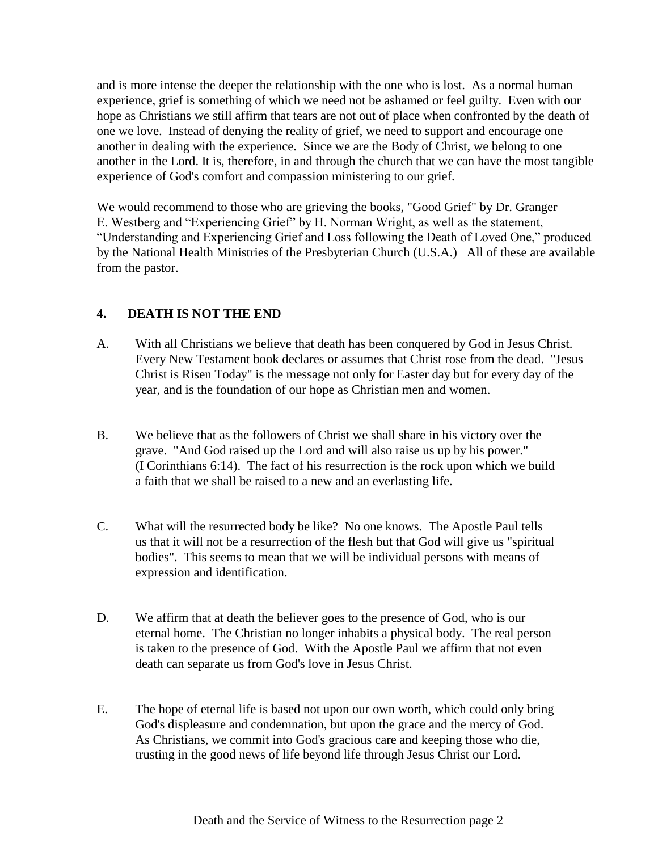and is more intense the deeper the relationship with the one who is lost. As a normal human experience, grief is something of which we need not be ashamed or feel guilty. Even with our hope as Christians we still affirm that tears are not out of place when confronted by the death of one we love. Instead of denying the reality of grief, we need to support and encourage one another in dealing with the experience. Since we are the Body of Christ, we belong to one another in the Lord. It is, therefore, in and through the church that we can have the most tangible experience of God's comfort and compassion ministering to our grief.

We would recommend to those who are grieving the books, "Good Grief" by Dr. Granger E. Westberg and "Experiencing Grief" by H. Norman Wright, as well as the statement, "Understanding and Experiencing Grief and Loss following the Death of Loved One," produced by the National Health Ministries of the Presbyterian Church (U.S.A.) All of these are available from the pastor.

## **4. DEATH IS NOT THE END**

- A. With all Christians we believe that death has been conquered by God in Jesus Christ. Every New Testament book declares or assumes that Christ rose from the dead. "Jesus Christ is Risen Today" is the message not only for Easter day but for every day of the year, and is the foundation of our hope as Christian men and women.
- B. We believe that as the followers of Christ we shall share in his victory over the grave. "And God raised up the Lord and will also raise us up by his power." (I Corinthians 6:14). The fact of his resurrection is the rock upon which we build a faith that we shall be raised to a new and an everlasting life.
- C. What will the resurrected body be like? No one knows. The Apostle Paul tells us that it will not be a resurrection of the flesh but that God will give us "spiritual bodies". This seems to mean that we will be individual persons with means of expression and identification.
- D. We affirm that at death the believer goes to the presence of God, who is our eternal home. The Christian no longer inhabits a physical body. The real person is taken to the presence of God. With the Apostle Paul we affirm that not even death can separate us from God's love in Jesus Christ.
- E. The hope of eternal life is based not upon our own worth, which could only bring God's displeasure and condemnation, but upon the grace and the mercy of God. As Christians, we commit into God's gracious care and keeping those who die, trusting in the good news of life beyond life through Jesus Christ our Lord.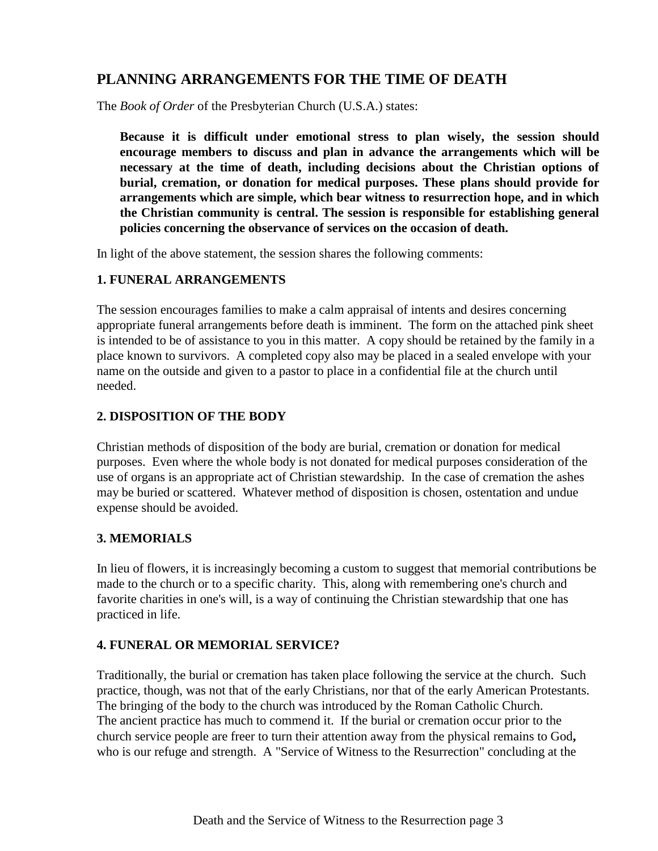# **PLANNING ARRANGEMENTS FOR THE TIME OF DEATH**

The *Book of Order* of the Presbyterian Church (U.S.A.) states:

**Because it is difficult under emotional stress to plan wisely, the session should encourage members to discuss and plan in advance the arrangements which will be necessary at the time of death, including decisions about the Christian options of burial, cremation, or donation for medical purposes. These plans should provide for arrangements which are simple, which bear witness to resurrection hope, and in which the Christian community is central. The session is responsible for establishing general policies concerning the observance of services on the occasion of death.**

In light of the above statement, the session shares the following comments:

## **1. FUNERAL ARRANGEMENTS**

The session encourages families to make a calm appraisal of intents and desires concerning appropriate funeral arrangements before death is imminent. The form on the attached pink sheet is intended to be of assistance to you in this matter. A copy should be retained by the family in a place known to survivors. A completed copy also may be placed in a sealed envelope with your name on the outside and given to a pastor to place in a confidential file at the church until needed.

## **2. DISPOSITION OF THE BODY**

Christian methods of disposition of the body are burial, cremation or donation for medical purposes. Even where the whole body is not donated for medical purposes consideration of the use of organs is an appropriate act of Christian stewardship. In the case of cremation the ashes may be buried or scattered. Whatever method of disposition is chosen, ostentation and undue expense should be avoided.

## **3. MEMORIALS**

In lieu of flowers, it is increasingly becoming a custom to suggest that memorial contributions be made to the church or to a specific charity. This, along with remembering one's church and favorite charities in one's will, is a way of continuing the Christian stewardship that one has practiced in life.

#### **4. FUNERAL OR MEMORIAL SERVICE?**

Traditionally, the burial or cremation has taken place following the service at the church. Such practice, though, was not that of the early Christians, nor that of the early American Protestants. The bringing of the body to the church was introduced by the Roman Catholic Church. The ancient practice has much to commend it. If the burial or cremation occur prior to the church service people are freer to turn their attention away from the physical remains to God**,**  who is our refuge and strength. A "Service of Witness to the Resurrection" concluding at the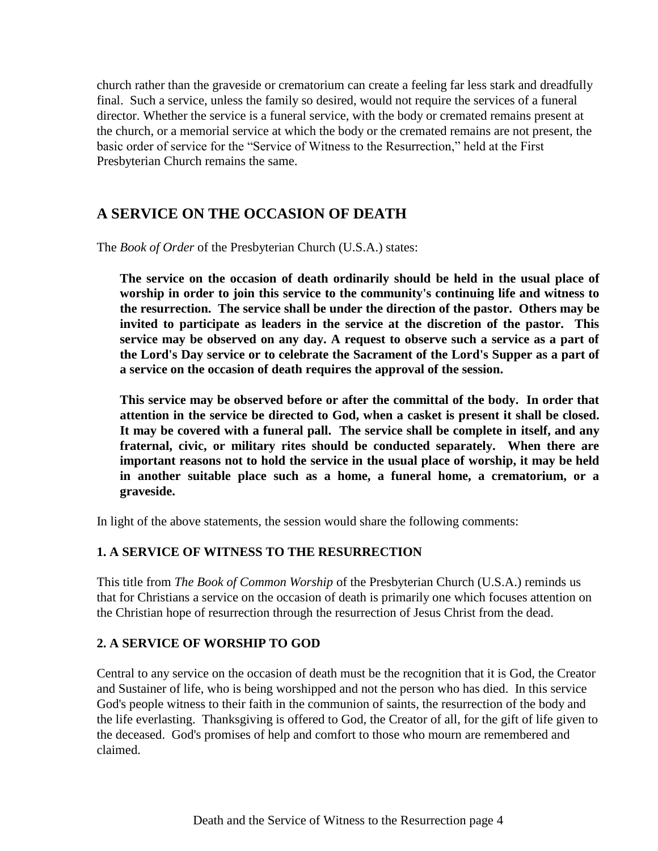church rather than the graveside or crematorium can create a feeling far less stark and dreadfully final. Such a service, unless the family so desired, would not require the services of a funeral director. Whether the service is a funeral service, with the body or cremated remains present at the church, or a memorial service at which the body or the cremated remains are not present, the basic order of service for the "Service of Witness to the Resurrection," held at the First Presbyterian Church remains the same.

# **A SERVICE ON THE OCCASION OF DEATH**

The *Book of Order* of the Presbyterian Church (U.S.A.) states:

**The service on the occasion of death ordinarily should be held in the usual place of worship in order to join this service to the community's continuing life and witness to the resurrection. The service shall be under the direction of the pastor. Others may be invited to participate as leaders in the service at the discretion of the pastor. This service may be observed on any day. A request to observe such a service as a part of the Lord's Day service or to celebrate the Sacrament of the Lord's Supper as a part of a service on the occasion of death requires the approval of the session.**

**This service may be observed before or after the committal of the body. In order that attention in the service be directed to God, when a casket is present it shall be closed. It may be covered with a funeral pall. The service shall be complete in itself, and any fraternal, civic, or military rites should be conducted separately. When there are important reasons not to hold the service in the usual place of worship, it may be held in another suitable place such as a home, a funeral home, a crematorium, or a graveside.**

In light of the above statements, the session would share the following comments:

## **1. A SERVICE OF WITNESS TO THE RESURRECTION**

This title from *The Book of Common Worship* of the Presbyterian Church (U.S.A.) reminds us that for Christians a service on the occasion of death is primarily one which focuses attention on the Christian hope of resurrection through the resurrection of Jesus Christ from the dead.

## **2. A SERVICE OF WORSHIP TO GOD**

Central to any service on the occasion of death must be the recognition that it is God, the Creator and Sustainer of life, who is being worshipped and not the person who has died. In this service God's people witness to their faith in the communion of saints, the resurrection of the body and the life everlasting. Thanksgiving is offered to God, the Creator of all, for the gift of life given to the deceased. God's promises of help and comfort to those who mourn are remembered and claimed.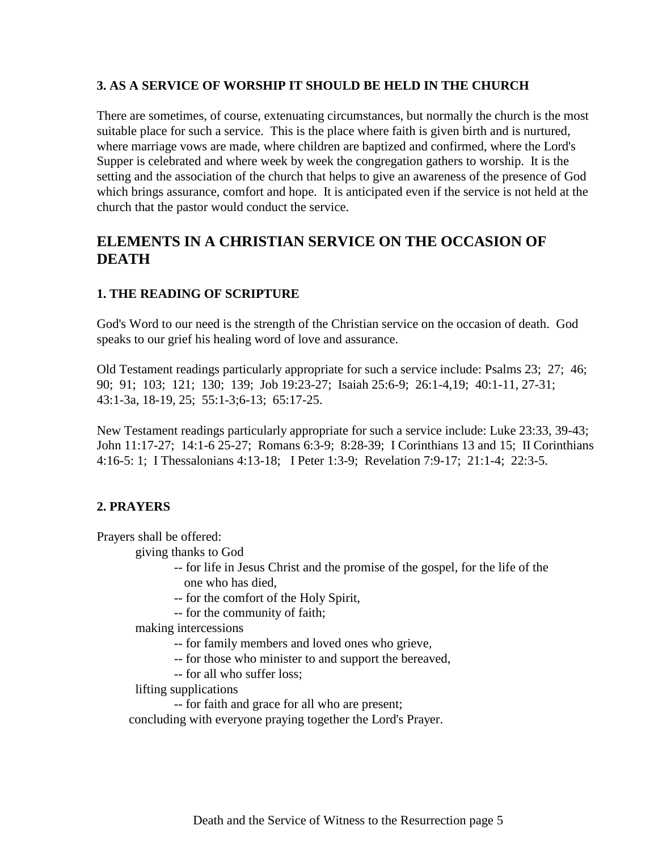#### **3. AS A SERVICE OF WORSHIP IT SHOULD BE HELD IN THE CHURCH**

There are sometimes, of course, extenuating circumstances, but normally the church is the most suitable place for such a service. This is the place where faith is given birth and is nurtured, where marriage vows are made, where children are baptized and confirmed, where the Lord's Supper is celebrated and where week by week the congregation gathers to worship. It is the setting and the association of the church that helps to give an awareness of the presence of God which brings assurance, comfort and hope. It is anticipated even if the service is not held at the church that the pastor would conduct the service.

## **ELEMENTS IN A CHRISTIAN SERVICE ON THE OCCASION OF DEATH**

#### **1. THE READING OF SCRIPTURE**

God's Word to our need is the strength of the Christian service on the occasion of death. God speaks to our grief his healing word of love and assurance.

Old Testament readings particularly appropriate for such a service include: Psalms 23; 27; 46; 90; 91; 103; 121; 130; 139; Job 19:23-27; Isaiah 25:6-9; 26:1-4,19; 40:1-11, 27-31; 43:1-3a, 18-19, 25; 55:1-3;6-13; 65:17-25.

New Testament readings particularly appropriate for such a service include: Luke 23:33, 39-43; John 11:17-27; 14:1-6 25-27; Romans 6:3-9; 8:28-39; I Corinthians 13 and 15; II Corinthians 4:16-5: 1; I Thessalonians 4:13-18; I Peter 1:3-9; Revelation 7:9-17; 21:1-4; 22:3-5.

#### **2. PRAYERS**

Prayers shall be offered:

giving thanks to God

- -- for life in Jesus Christ and the promise of the gospel, for the life of the one who has died,
- -- for the comfort of the Holy Spirit,
- -- for the community of faith;

making intercessions

- -- for family members and loved ones who grieve,
- -- for those who minister to and support the bereaved,
- -- for all who suffer loss;

lifting supplications

-- for faith and grace for all who are present;

concluding with everyone praying together the Lord's Prayer.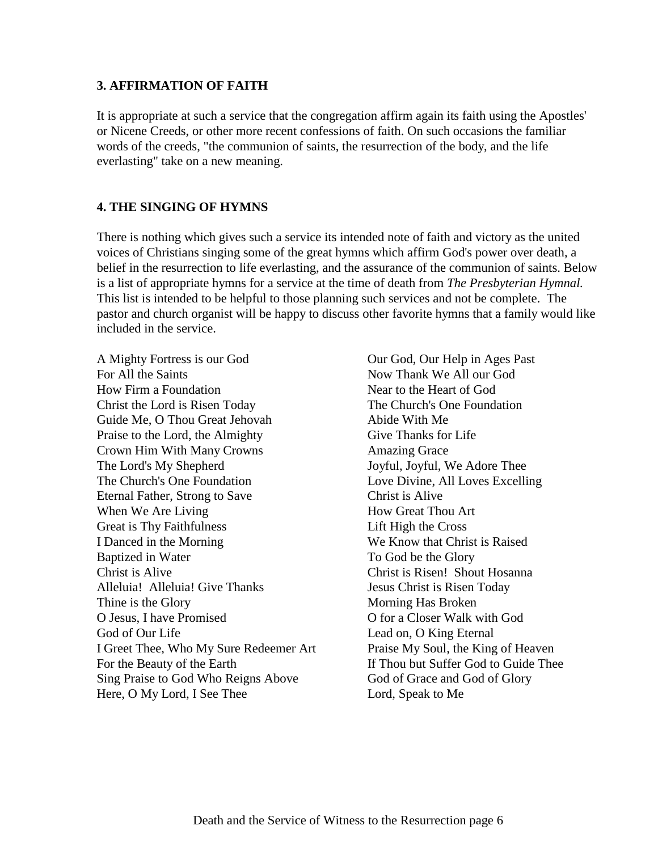#### **3. AFFIRMATION OF FAITH**

It is appropriate at such a service that the congregation affirm again its faith using the Apostles' or Nicene Creeds, or other more recent confessions of faith. On such occasions the familiar words of the creeds, "the communion of saints, the resurrection of the body, and the life everlasting" take on a new meaning.

#### **4. THE SINGING OF HYMNS**

There is nothing which gives such a service its intended note of faith and victory as the united voices of Christians singing some of the great hymns which affirm God's power over death, a belief in the resurrection to life everlasting, and the assurance of the communion of saints. Below is a list of appropriate hymns for a service at the time of death from *The Presbyterian Hymnal.*  This list is intended to be helpful to those planning such services and not be complete. The pastor and church organist will be happy to discuss other favorite hymns that a family would like included in the service.

A Mighty Fortress is our God Our God, Our Help in Ages Past For All the Saints Now Thank We All our God How Firm a Foundation Near to the Heart of God Christ the Lord is Risen Today The Church's One Foundation Guide Me, O Thou Great Jehovah Abide With Me Praise to the Lord, the Almighty Give Thanks for Life Crown Him With Many Crowns Amazing Grace The Lord's My Shepherd Joyful, Joyful, We Adore Thee The Church's One Foundation Love Divine, All Loves Excelling Eternal Father, Strong to Save Christ is Alive When We Are Living How Great Thou Art Great is Thy Faithfulness Lift High the Cross I Danced in the Morning We Know that Christ is Raised Baptized in Water To God be the Glory Christ is Alive Christ is Risen! Shout Hosanna Alleluia! Alleluia! Give Thanks Jesus Christ is Risen Today Thine is the Glory Morning Has Broken O Jesus, I have Promised O for a Closer Walk with God God of Our Life Lead on, O King Eternal I Greet Thee, Who My Sure Redeemer Art Praise My Soul, the King of Heaven For the Beauty of the Earth If Thou but Suffer God to Guide Thee Sing Praise to God Who Reigns Above God of Grace and God of Glory Here, O My Lord, I See Thee Lord, Speak to Me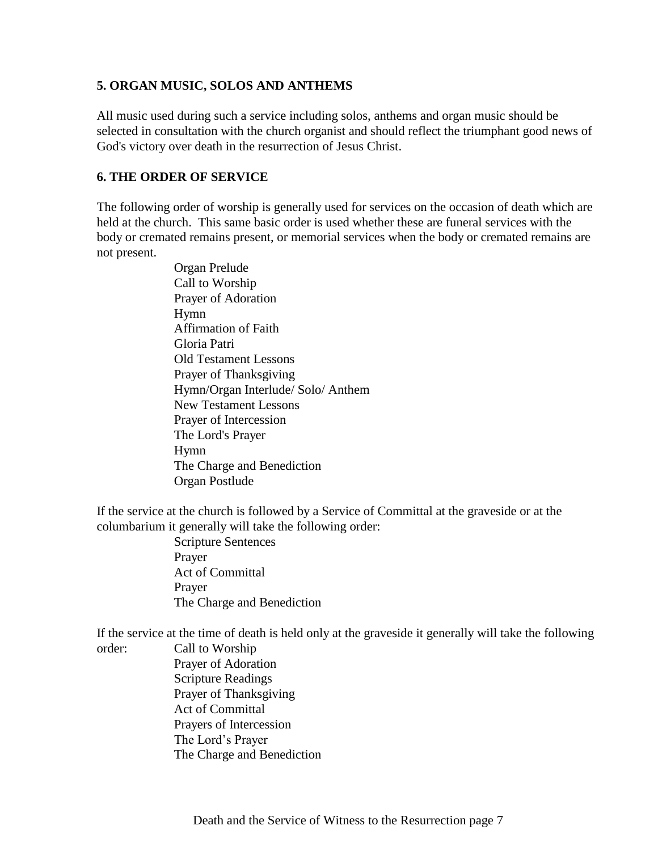#### **5. ORGAN MUSIC, SOLOS AND ANTHEMS**

All music used during such a service including solos, anthems and organ music should be selected in consultation with the church organist and should reflect the triumphant good news of God's victory over death in the resurrection of Jesus Christ.

## **6. THE ORDER OF SERVICE**

The following order of worship is generally used for services on the occasion of death which are held at the church. This same basic order is used whether these are funeral services with the body or cremated remains present, or memorial services when the body or cremated remains are not present.

> Organ Prelude Call to Worship Prayer of Adoration Hymn Affirmation of Faith Gloria Patri Old Testament Lessons Prayer of Thanksgiving Hymn/Organ Interlude/ Solo/ Anthem New Testament Lessons Prayer of Intercession The Lord's Prayer Hymn The Charge and Benediction Organ Postlude

If the service at the church is followed by a Service of Committal at the graveside or at the columbarium it generally will take the following order:

Scripture Sentences Prayer Act of Committal Prayer The Charge and Benediction

If the service at the time of death is held only at the graveside it generally will take the following

order: Call to Worship

Prayer of Adoration Scripture Readings Prayer of Thanksgiving Act of Committal Prayers of Intercession The Lord's Prayer The Charge and Benediction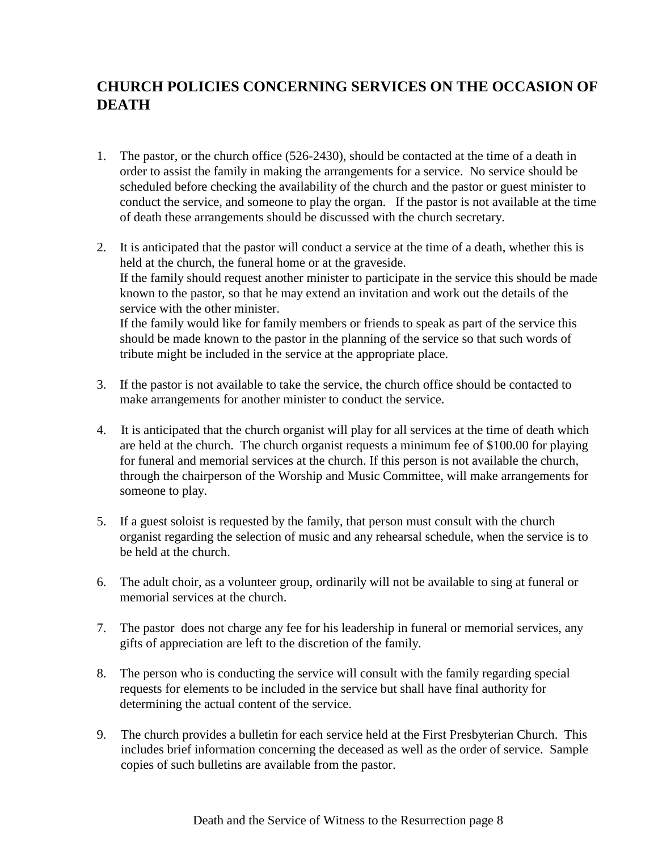# **CHURCH POLICIES CONCERNING SERVICES ON THE OCCASION OF DEATH**

- 1. The pastor, or the church office (526-2430), should be contacted at the time of a death in order to assist the family in making the arrangements for a service. No service should be scheduled before checking the availability of the church and the pastor or guest minister to conduct the service, and someone to play the organ. If the pastor is not available at the time of death these arrangements should be discussed with the church secretary.
- 2. It is anticipated that the pastor will conduct a service at the time of a death, whether this is held at the church, the funeral home or at the graveside. If the family should request another minister to participate in the service this should be made known to the pastor, so that he may extend an invitation and work out the details of the service with the other minister. If the family would like for family members or friends to speak as part of the service this should be made known to the pastor in the planning of the service so that such words of tribute might be included in the service at the appropriate place.
- 3. If the pastor is not available to take the service, the church office should be contacted to make arrangements for another minister to conduct the service.
- 4. It is anticipated that the church organist will play for all services at the time of death which are held at the church. The church organist requests a minimum fee of \$100.00 for playing for funeral and memorial services at the church. If this person is not available the church, through the chairperson of the Worship and Music Committee, will make arrangements for someone to play.
- 5. If a guest soloist is requested by the family, that person must consult with the church organist regarding the selection of music and any rehearsal schedule, when the service is to be held at the church.
- 6. The adult choir, as a volunteer group, ordinarily will not be available to sing at funeral or memorial services at the church.
- 7. The pastor does not charge any fee for his leadership in funeral or memorial services, any gifts of appreciation are left to the discretion of the family.
- 8. The person who is conducting the service will consult with the family regarding special requests for elements to be included in the service but shall have final authority for determining the actual content of the service.
- 9. The church provides a bulletin for each service held at the First Presbyterian Church. This includes brief information concerning the deceased as well as the order of service. Sample copies of such bulletins are available from the pastor.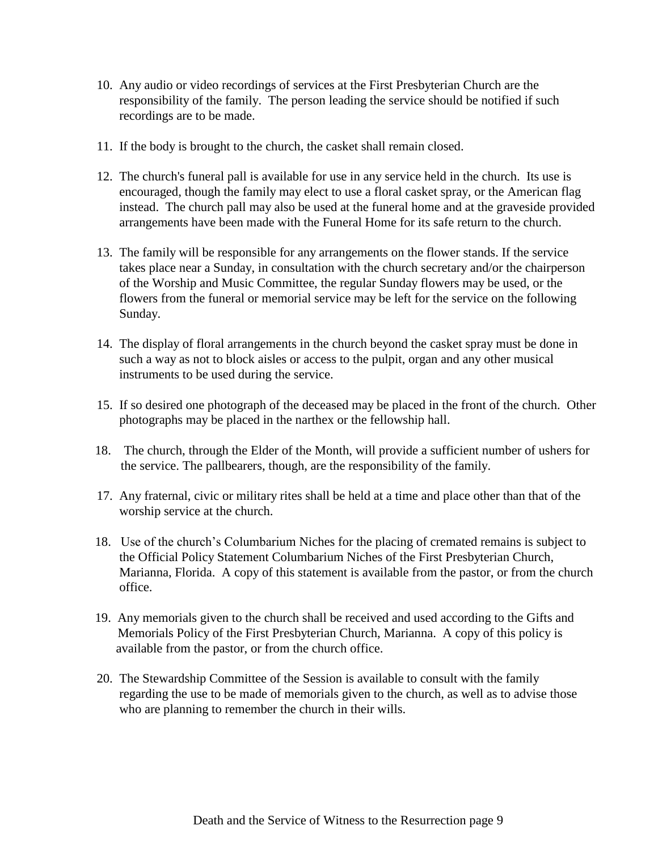- 10. Any audio or video recordings of services at the First Presbyterian Church are the responsibility of the family. The person leading the service should be notified if such recordings are to be made.
- 11. If the body is brought to the church, the casket shall remain closed.
- 12. The church's funeral pall is available for use in any service held in the church. Its use is encouraged, though the family may elect to use a floral casket spray, or the American flag instead. The church pall may also be used at the funeral home and at the graveside provided arrangements have been made with the Funeral Home for its safe return to the church.
- 13. The family will be responsible for any arrangements on the flower stands. If the service takes place near a Sunday, in consultation with the church secretary and/or the chairperson of the Worship and Music Committee, the regular Sunday flowers may be used, or the flowers from the funeral or memorial service may be left for the service on the following Sunday.
- 14. The display of floral arrangements in the church beyond the casket spray must be done in such a way as not to block aisles or access to the pulpit, organ and any other musical instruments to be used during the service.
- 15. If so desired one photograph of the deceased may be placed in the front of the church. Other photographs may be placed in the narthex or the fellowship hall.
- 18. The church, through the Elder of the Month, will provide a sufficient number of ushers for the service. The pallbearers, though, are the responsibility of the family.
- 17. Any fraternal, civic or military rites shall be held at a time and place other than that of the worship service at the church.
- 18. Use of the church's Columbarium Niches for the placing of cremated remains is subject to the Official Policy Statement Columbarium Niches of the First Presbyterian Church, Marianna, Florida. A copy of this statement is available from the pastor, or from the church office.
- 19. Any memorials given to the church shall be received and used according to the Gifts and Memorials Policy of the First Presbyterian Church, Marianna. A copy of this policy is available from the pastor, or from the church office.
- 20. The Stewardship Committee of the Session is available to consult with the family regarding the use to be made of memorials given to the church, as well as to advise those who are planning to remember the church in their wills.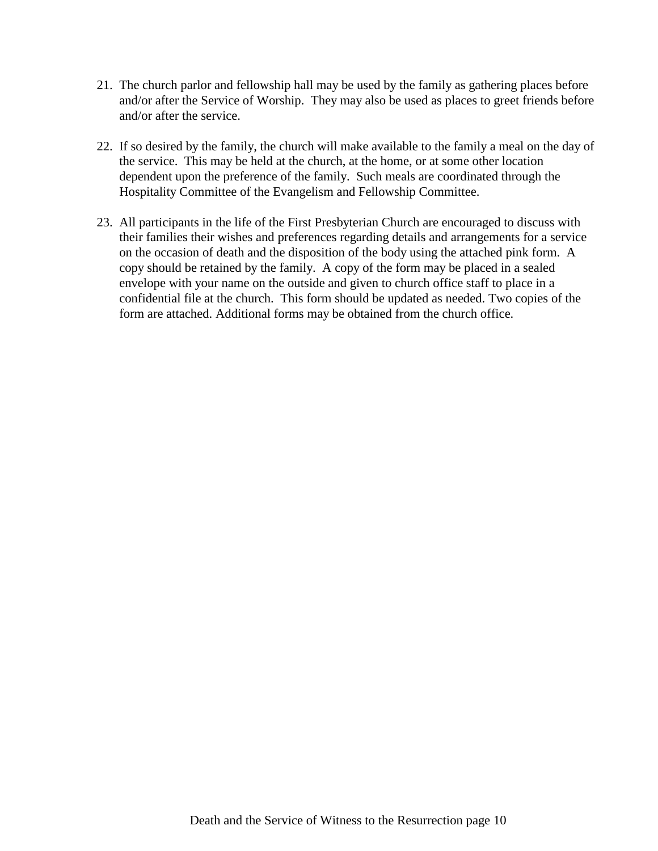- 21. The church parlor and fellowship hall may be used by the family as gathering places before and/or after the Service of Worship. They may also be used as places to greet friends before and/or after the service.
- 22. If so desired by the family, the church will make available to the family a meal on the day of the service. This may be held at the church, at the home, or at some other location dependent upon the preference of the family. Such meals are coordinated through the Hospitality Committee of the Evangelism and Fellowship Committee.
- 23. All participants in the life of the First Presbyterian Church are encouraged to discuss with their families their wishes and preferences regarding details and arrangements for a service on the occasion of death and the disposition of the body using the attached pink form. A copy should be retained by the family. A copy of the form may be placed in a sealed envelope with your name on the outside and given to church office staff to place in a confidential file at the church. This form should be updated as needed. Two copies of the form are attached. Additional forms may be obtained from the church office.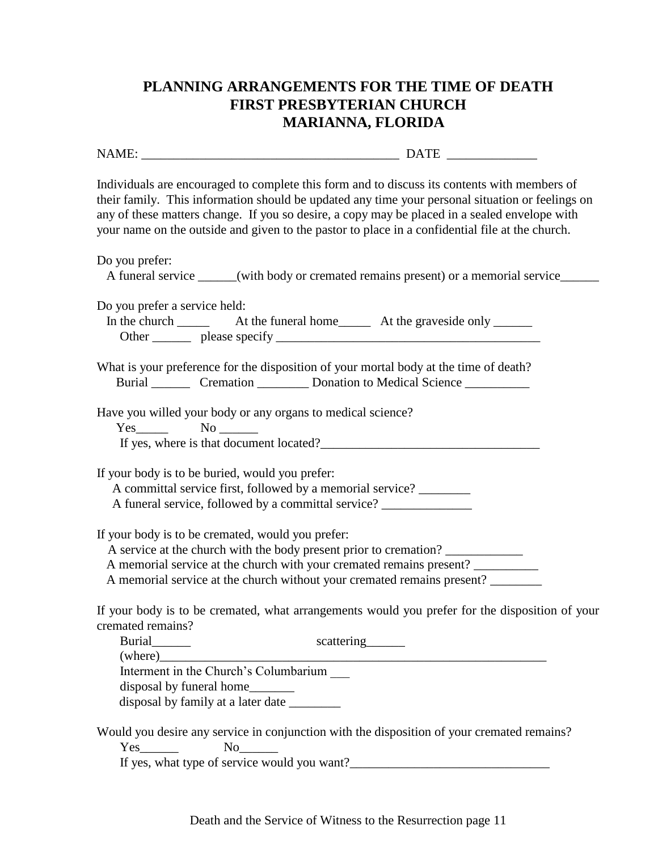# **PLANNING ARRANGEMENTS FOR THE TIME OF DEATH FIRST PRESBYTERIAN CHURCH MARIANNA, FLORIDA**

| Individuals are encouraged to complete this form and to discuss its contents with members of<br>their family. This information should be updated any time your personal situation or feelings on<br>any of these matters change. If you so desire, a copy may be placed in a sealed envelope with<br>your name on the outside and given to the pastor to place in a confidential file at the church. |  |
|------------------------------------------------------------------------------------------------------------------------------------------------------------------------------------------------------------------------------------------------------------------------------------------------------------------------------------------------------------------------------------------------------|--|
| Do you prefer:<br>A funeral service _____(with body or cremated remains present) or a memorial service____                                                                                                                                                                                                                                                                                           |  |
| Do you prefer a service held:                                                                                                                                                                                                                                                                                                                                                                        |  |
| What is your preference for the disposition of your mortal body at the time of death?<br>Burial Cremation Conation b Medical Science                                                                                                                                                                                                                                                                 |  |
| Have you willed your body or any organs to medical science?<br>$Yes$ No $\_\_\_\_\_\$                                                                                                                                                                                                                                                                                                                |  |
| If your body is to be buried, would you prefer:<br>A committal service first, followed by a memorial service?<br>A funeral service, followed by a committal service? _____________________________                                                                                                                                                                                                   |  |
| If your body is to be cremated, would you prefer:<br>A service at the church with the body present prior to cremation?<br>A memorial service at the church with your cremated remains present?<br>A memorial service at the church without your cremated remains present? ________                                                                                                                   |  |
| If your body is to be cremated, what arrangements would you prefer for the disposition of your<br>cremated remains?<br>Burial_______<br>scattering_______<br>$(\text{where})$                                                                                                                                                                                                                        |  |
| Interment in the Church's Columbarium<br>disposal by funeral home_________<br>disposal by family at a later date _______                                                                                                                                                                                                                                                                             |  |
| Would you desire any service in conjunction with the disposition of your cremated remains?<br>$Yes$ <sub>__________</sub>                                                                                                                                                                                                                                                                            |  |